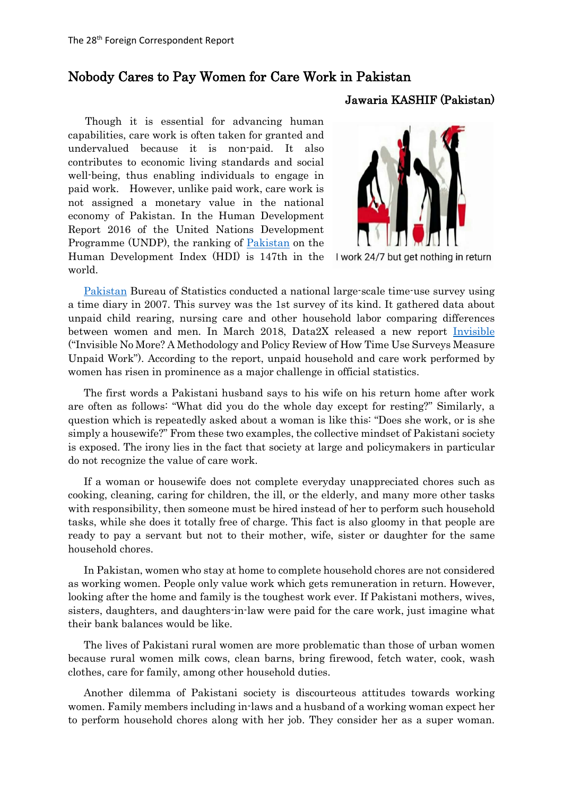## Nobody Cares to Pay Women for Care Work in Pakistan

Jawaria KASHIF (Pakistan)

Though it is essential for advancing human capabilities, care work is often taken for granted and undervalued because it is non-paid. It also contributes to economic living standards and social well-being, thus enabling individuals to engage in paid work. However, unlike paid work, care work is not assigned a monetary value in the national economy of Pakistan. In the Human Development Report 2016 of the United Nations Development Programme (UNDP), the ranking of [Pakistan](http://hdr.undp.org/en/countries/profiles/PAK) on the Human Development Index (HDI) is 147th in the world.



I work 24/7 but get nothing in return

[Pakistan](http://hdr.undp.org/en/countries/profiles/PAK) Bureau of Statistics conducted a national large-scale time-use survey using a time diary in 2007. This survey was the 1st survey of its kind. It gathered data about unpaid child rearing, nursing care and other household labor comparing differences between women and men. In March 2018, Data2X released a new report [Invisible](https://www.data2x.org/time-use-report/) ("Invisible No More? A Methodology and Policy Review of How Time Use Surveys Measure Unpaid Work"). According to the report, unpaid household and care work performed by women has risen in prominence as a major challenge in official statistics.

The first words a Pakistani husband says to his wife on his return home after work are often as follows: "What did you do the whole day except for resting?" Similarly, a question which is repeatedly asked about a woman is like this: "Does she work, or is she simply a housewife?" From these two examples, the collective mindset of Pakistani society is exposed. The irony lies in the fact that society at large and policymakers in particular do not recognize the value of care work.

If a woman or housewife does not complete everyday unappreciated chores such as cooking, cleaning, caring for children, the ill, or the elderly, and many more other tasks with responsibility, then someone must be hired instead of her to perform such household tasks, while she does it totally free of charge. This fact is also gloomy in that people are ready to pay a servant but not to their mother, wife, sister or daughter for the same household chores.

In Pakistan, women who stay at home to complete household chores are not considered as working women. People only value work which gets remuneration in return. However, looking after the home and family is the toughest work ever. If Pakistani mothers, wives, sisters, daughters, and daughters-in-law were paid for the care work, just imagine what their bank balances would be like.

The lives of Pakistani rural women are more problematic than those of urban women because rural women milk cows, clean barns, bring firewood, fetch water, cook, wash clothes, care for family, among other household duties.

Another dilemma of Pakistani society is discourteous attitudes towards working women. Family members including in-laws and a husband of a working woman expect her to perform household chores along with her job. They consider her as a super woman.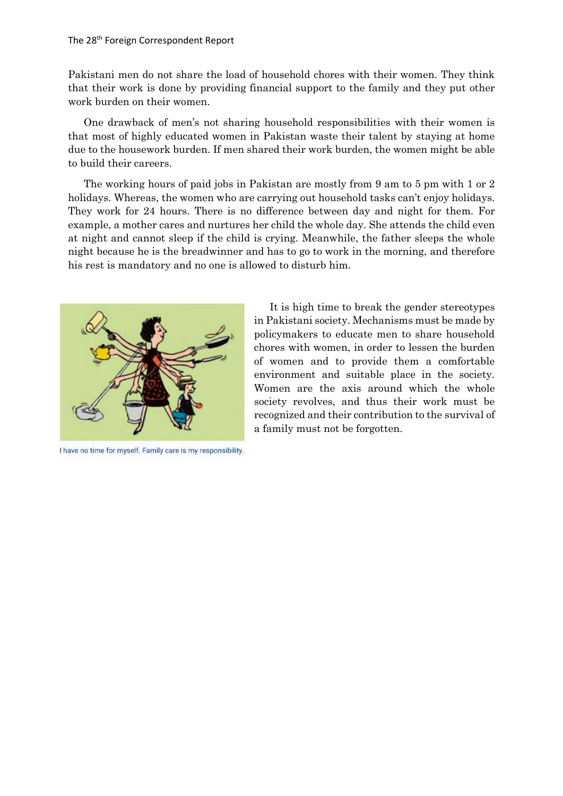Pakistani men do not share the load of household chores with their women. They think that their work is done by providing financial support to the family and they put other work burden on their women.

One drawback of men's not sharing household responsibilities with their women is that most of highly educated women in Pakistan waste their talent by staying at home due to the housework burden. If men shared their work burden, the women might be able to build their careers.

The working hours of paid jobs in Pakistan are mostly from 9 am to 5 pm with 1 or 2 holidays. Whereas, the women who are carrying out household tasks can't enjoy holidays. They work for 24 hours. There is no difference between day and night for them. For example, a mother cares and nurtures her child the whole day. She attends the child even at night and cannot sleep if the child is crying. Meanwhile, the father sleeps the whole night because he is the breadwinner and has to go to work in the morning, and therefore his rest is mandatory and no one is allowed to disturb him.



I have no time for myself. Family care is my responsibility.

It is high time to break the gender stereotypes in Pakistani society. Mechanisms must be made by policymakers to educate men to share household chores with women, in order to lessen the burden of women and to provide them a comfortable environment and suitable place in the society. Women are the axis around which the whole society revolves, and thus their work must be recognized and their contribution to the survival of a family must not be forgotten.